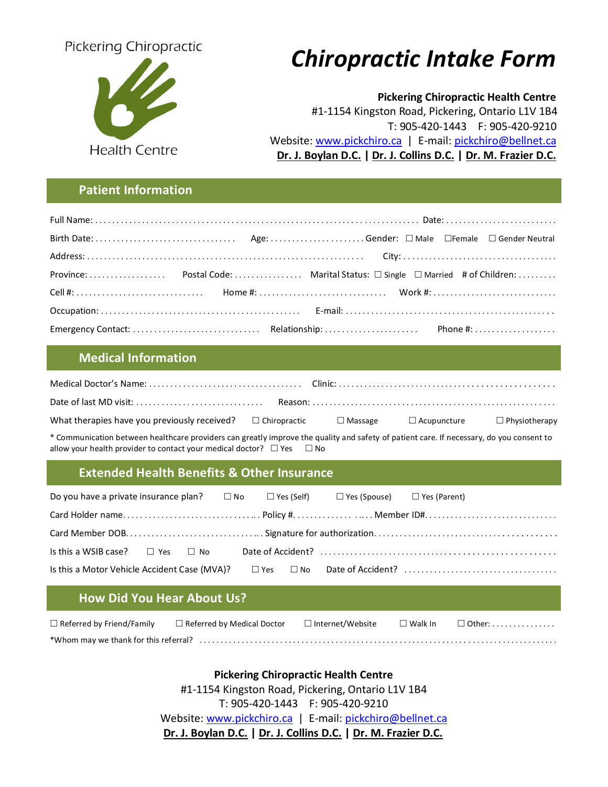

# Pickering Chiropractic *Chiropractic Intake Form*

 **Pickering Chiropractic Health Centre**

 #1-1154 Kingston Road, Pickering, Ontario L1V 1B4 T: 905-420-1443 F: 905-420-9210 Website: [www.pickchiro.ca](http://www.pickchiro.ca/) | E-mail: [pickchiro@bellnet.ca](mailto:pickchiro@bellnet.ca) | E-mail: pickchiro@bellnet.ca | E-mail: pickchiro@bellnet.ca | E  **Dr. J. Boylan D.C. | Dr. J. Collins D.C. | Dr. M. Frazier D.C.** 

# **Patient Information**

# **Medical Information**

| What therapies have you previously received? $\square$ Chiropractic $\square$ Massage $\square$ Acupuncture |  | $\Box$ Physiotherapy |
|-------------------------------------------------------------------------------------------------------------|--|----------------------|

\* Communication between healthcare providers can greatly improve the quality and safety of patient care. If necessary, do you consent to allow your health provider to contact your medical doctor?  $\Box$  Yes  $\Box$  No

# **Extended Health Benefits & Other Insurance**

| Do you have a private insurance plan? $\square$ No $\square$ Yes (Self) $\square$ Yes (Spouse) $\square$ Yes (Parent) |  |  |  |  |
|-----------------------------------------------------------------------------------------------------------------------|--|--|--|--|
|                                                                                                                       |  |  |  |  |
|                                                                                                                       |  |  |  |  |
| Is this a WSIB case? $\Box$ Yes $\Box$ No                                                                             |  |  |  |  |
| Is this a Motor Vehicle Accident Case (MVA)?                                                                          |  |  |  |  |

# **How Did You Hear About Us?**

| $\Box$ Referred by Friend/Family | $\Box$ Referred by Medical Doctor | $\Box$ Internet/Website | $\Box$ Walk In | $\Box$ Other: $\ldots \ldots \ldots \ldots$ |
|----------------------------------|-----------------------------------|-------------------------|----------------|---------------------------------------------|
|                                  |                                   |                         |                |                                             |

**Pickering Chiropractic Health Centre** #1-1154 Kingston Road, Pickering, Ontario L1V 1B4 T: 905-420-1443 F: 905-420-9210 Website: [www.pickchiro.ca](http://www.pickchiro.ca/) | E-mail: [pickchiro@bellnet.ca](mailto:pickchiro@bellnet.ca)  **Dr. J. Boylan D.C. | Dr. J. Collins D.C. | Dr. M. Frazier D.C.**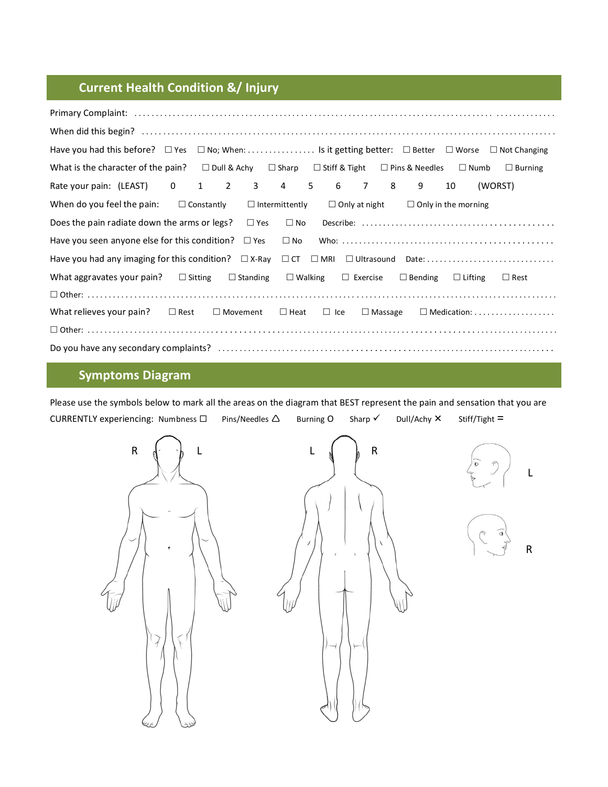# **Current Health Condition &/ Injury**

| Have you had this before? □ Yes □ No; When: Is it getting better: □ Better □ Worse □ Not Changing                                                          |                   |                 |                       |                                |                      |                |                            |                |                                                          |
|------------------------------------------------------------------------------------------------------------------------------------------------------------|-------------------|-----------------|-----------------------|--------------------------------|----------------------|----------------|----------------------------|----------------|----------------------------------------------------------|
| What is the character of the pain? $\square$ Dull & Achy $\square$ Sharp $\square$ Stiff & Tight $\square$ Pins & Needles $\square$ Numb $\square$ Burning |                   |                 |                       |                                |                      |                |                            |                |                                                          |
| Rate your pain: (LEAST) 0 1 2 3 4 5 6 7 8 9                                                                                                                |                   |                 |                       |                                |                      |                |                            | 10             | (WORST)                                                  |
| When do you feel the pain:                                                                                                                                 | $\Box$ Constantly |                 | $\Box$ Intermittently |                                | $\Box$ Only at night |                | $\Box$ Only in the morning |                |                                                          |
| Does the pain radiate down the arms or legs? $\square$ Yes                                                                                                 |                   |                 | $\square$ No          |                                |                      |                |                            |                |                                                          |
| Have you seen anyone else for this condition? $\square$ Yes                                                                                                |                   |                 | $\square$ No          |                                |                      |                |                            |                |                                                          |
|                                                                                                                                                            |                   |                 |                       |                                |                      |                |                            |                |                                                          |
| What aggravates your pain? $\Box$ Sitting                                                                                                                  |                   | $\Box$ Standing |                       | $\Box$ Walking $\Box$ Exercise |                      |                | $\Box$ Bending             | $\Box$ Lifting | $\Box$ Rest                                              |
|                                                                                                                                                            |                   |                 |                       |                                |                      |                |                            |                |                                                          |
| What relieves your pain? $\Box$ Rest                                                                                                                       |                   | $\Box$ Movement |                       | $\Box$ Heat $\Box$ Ice         |                      | $\Box$ Massage |                            |                | $\Box$ Medication: $\dots\dots\dots\dots\dots\dots\dots$ |
|                                                                                                                                                            |                   |                 |                       |                                |                      |                |                            |                |                                                          |
|                                                                                                                                                            |                   |                 |                       |                                |                      |                |                            |                |                                                          |

# **Symptoms Diagram**

Please use the symbols below to mark all the areas on the diagram that BEST represent the pain and sensation that you are CURRENTLY experiencing: Numbness  $\Box$  Pins/Needles  $\Delta$  Burning O Sharp  $\checkmark$  Dull/Achy  $\checkmark$  Stiff/Tight =

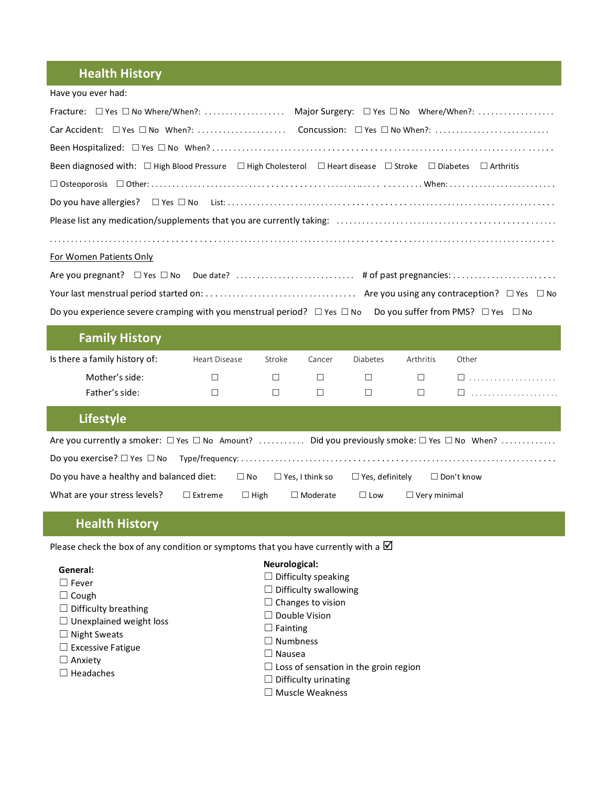# **Health History**

| Have you ever had:                                                                                                                          |               |        |        |                 |           |                                              |  |  |
|---------------------------------------------------------------------------------------------------------------------------------------------|---------------|--------|--------|-----------------|-----------|----------------------------------------------|--|--|
| Fracture: □ Yes □ No Where/When?:  Major Surgery: □ Yes □ No Where/When?:                                                                   |               |        |        |                 |           |                                              |  |  |
| Car Accident: □ Yes □ No When?:  Concussion: □ Yes □ No When?:                                                                              |               |        |        |                 |           |                                              |  |  |
|                                                                                                                                             |               |        |        |                 |           |                                              |  |  |
| Been diagnosed with: $\Box$ High Blood Pressure $\Box$ High Cholesterol $\Box$ Heart disease $\Box$ Stroke $\Box$ Diabetes $\Box$ Arthritis |               |        |        |                 |           |                                              |  |  |
|                                                                                                                                             |               |        |        |                 |           |                                              |  |  |
|                                                                                                                                             |               |        |        |                 |           |                                              |  |  |
|                                                                                                                                             |               |        |        |                 |           |                                              |  |  |
|                                                                                                                                             |               |        |        |                 |           |                                              |  |  |
| For Women Patients Only                                                                                                                     |               |        |        |                 |           |                                              |  |  |
|                                                                                                                                             |               |        |        |                 |           |                                              |  |  |
|                                                                                                                                             |               |        |        |                 |           |                                              |  |  |
| Do you experience severe cramping with you menstrual period? $\Box$ Yes $\Box$ No                                                           |               |        |        |                 |           | Do you suffer from PMS? $\Box$ Yes $\Box$ No |  |  |
| <b>Family History</b>                                                                                                                       |               |        |        |                 |           |                                              |  |  |
| Is there a family history of:                                                                                                               | Heart Disease | Stroke | Cancer | <b>Diabetes</b> | Arthritis | Other                                        |  |  |
| Mother's side:                                                                                                                              | $\Box$        | $\Box$ | $\Box$ | $\Box$          | $\Box$    | $\square$                                    |  |  |
| Father's side:                                                                                                                              | $\Box$        | $\Box$ | $\Box$ | $\Box$          | $\Box$    | $\square$                                    |  |  |
| <b>Lifestyle</b>                                                                                                                            |               |        |        |                 |           |                                              |  |  |
| Are you currently a smoker: $\Box$ Yes $\Box$ No Amount?  Did you previously smoke: $\Box$ Yes $\Box$ No When?                              |               |        |        |                 |           |                                              |  |  |
|                                                                                                                                             |               |        |        |                 |           |                                              |  |  |

| Do you have a healthy and balanced diet: |                   | $\Box$ No   | $\Box$ Yes. I think so | $\Box$ Yes. definitely | $\Box$ Don't know   |  |
|------------------------------------------|-------------------|-------------|------------------------|------------------------|---------------------|--|
| What are your stress levels?             | $\square$ Extreme | $\Box$ High | $\Box$ Moderate        | $\Box$ Low             | $\Box$ Verv minimal |  |

# **Health History**

 $\Box$  Difficulty breathing ☐ Unexplained weight loss

☐ Night Sweats ☐ Excessive Fatigue

Please check the box of any condition or symptoms that you have currently with a  $\boxtimes$ 

#### **General:** ☐ Fever

□ Cough

□ Anxiety ☐ Headaches

# **Neurological:**

- $\Box$  Difficulty speaking
- $\Box$  Difficulty swallowing
- $\Box$  Changes to vision
- ☐ Double Vision
- □ Fainting
- ☐ Numbness
- ☐ Nausea
- ☐ Loss of sensation in the groin region
- $\Box$  Difficulty urinating
- ☐ Muscle Weakness